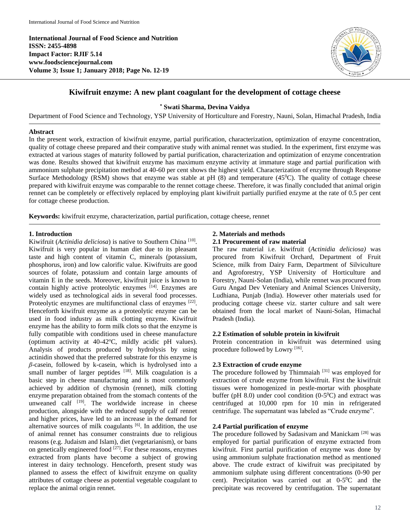**International Journal of Food Science and Nutrition ISSN: 2455-4898 Impact Factor: RJIF 5.14 www.foodsciencejournal.com Volume 3; Issue 1; January 2018; Page No. 12-19**



# **Kiwifruit enzyme: A new plant coagulant for the development of cottage cheese**

**\* Swati Sharma, Devina Vaidya**

Department of Food Science and Technology, YSP University of Horticulture and Forestry, Nauni, Solan, Himachal Pradesh, India

#### **Abstract**

In the present work, extraction of kiwifruit enzyme, partial purification, characterization, optimization of enzyme concentration, quality of cottage cheese prepared and their comparative study with animal rennet was studied. In the experiment, first enzyme was extracted at various stages of maturity followed by partial purification, characterization and optimization of enzyme concentration was done. Results showed that kiwifruit enzyme has maximum enzyme activity at immature stage and partial purification with ammonium sulphate precipitation method at 40-60 per cent shows the highest yield. Characterization of enzyme through Response Surface Methodology (RSM) shows that enzyme was stable at pH  $(8)$  and temperature  $(45^{\circ}$ C). The quality of cottage cheese prepared with kiwifruit enzyme was comparable to the rennet cottage cheese. Therefore, it was finally concluded that animal origin rennet can be completely or effectively replaced by employing plant kiwifruit partially purified enzyme at the rate of 0.5 per cent for cottage cheese production.

**Keywords:** kiwifruit enzyme, characterization, partial purification, cottage cheese, rennet

## **1. Introduction**

Kiwifruit (*Actinidia deliciosa*) is native to Southern China<sup>[10]</sup>. Kiwifruit is very popular in human diet due to its pleasant taste and high content of vitamin C, minerals (potassium, phosphorus, iron) and low calorific value. Kiwifruits are good sources of folate, potassium and contain large amounts of vitamin E in the seeds. Moreover, kiwifruit juice is known to contain highly active proteolytic enzymes  $[14]$ . Enzymes are widely used as technological aids in several food processes. Proteolytic enzymes are multifunctional class of enzymes [22]. Henceforth kiwifruit enzyme as a proteolytic enzyme can be used in food industry as milk clotting enzyme. Kiwifruit enzyme has the ability to form milk clots so that the enzyme is fully compatible with conditions used in cheese manufacture (optimum activity at  $40-42^{\circ}\text{C}$ , mildly acidic pH values). Analysis of products produced by hydrolysis by using actinidin showed that the preferred substrate for this enzyme is *β*-casein, followed by k-casein, which is hydrolysed into a small number of larger peptides  $[18]$ . Milk coagulation is a basic step in cheese manufacturing and is most commonly achieved by addition of chymosin (rennet), milk clotting enzyme preparation obtained from the stomach contents of the unweaned calf <sup>[19]</sup>. The worldwide increase in cheese production, alongside with the reduced supply of calf rennet and higher prices, have led to an increase in the demand for alternative sources of milk coagulants [6]. In addition, the use of animal rennet has consumer constraints due to religious reasons (e.g. Judaism and Islam), diet (vegetarianism), or bans on genetically engineered food <sup>[27]</sup>. For these reasons, enzymes extracted from plants have become a subject of growing interest in dairy technology. Henceforth, present study was planned to assess the effect of kiwifruit enzyme on quality attributes of cottage cheese as potential vegetable coagulant to replace the animal origin rennet.

## **2. Materials and methods 2.1 Procurement of raw material**

The raw material i.e. kiwifruit (*Actinidia deliciosa)* was procured from Kiwifruit Orchard, Department of Fruit Science, milk from Dairy Farm, Department of Silviculture and Agroforestry, YSP University of Horticulture and Forestry, Nauni-Solan (India), while rennet was procured from Guru Angad Dev Veteniary and Animal Sciences University, Ludhiana, Punjab (India). However other materials used for producing cottage cheese viz. starter culture and salt were obtained from the local market of Nauni-Solan, Himachal Pradesh (India).

## **2.2 Estimation of soluble protein in kiwifruit**

Protein concentration in kiwifruit was determined using procedure followed by Lowry [16].

# **2.3 Extraction of crude enzyme**

The procedure followed by Thimmaiah<sup>[31]</sup> was employed for extraction of crude enzyme from kiwifruit. First the kiwifruit tissues were homogenized in pestle-mortar with phosphate buffer (pH 8.0) under cool condition  $(0-5<sup>0</sup>C)$  and extract was centrifuged at 10,000 rpm for 10 min in refrigerated centrifuge. The supernatant was labeled as "Crude enzyme".

# **2.4 Partial purification of enzyme**

The procedure followed by Sadasivam and Manickam [28] was employed for partial purification of enzyme extracted from kiwifruit. First partial purification of enzyme was done by using ammonium sulphate fractionation method as mentioned above. The crude extract of kiwifruit was precipitated by ammonium sulphate using different concentrations (0-90 per cent). Precipitation was carried out at  $0-5$ <sup>o</sup>C and the precipitate was recovered by centrifugation. The supernatant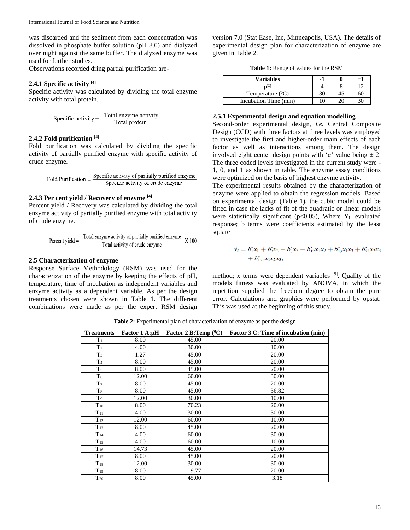was discarded and the sediment from each concentration was dissolved in phosphate buffer solution (pH 8.0) and dialyzed over night against the same buffer. The dialyzed enzyme was used for further studies.

Observations recorded dring partial purification are-

### **2.4.1 Specific activity [4]**

Specific activity was calculated by dividing the total enzyme activity with total protein.

Specific activity = 
$$
\frac{\text{Total enzyme activity}}{\text{Total protein}}
$$

## **2.4.2 Fold purification [4]**

Fold purification was calculated by dividing the specific activity of partially purified enzyme with specific activity of crude enzyme.

$$
Fold Purification = \frac{Specific \, activity \, of \, partially \, purified \, enzyme}{Specific \, activity \, of \, crude \, enzyme}
$$

### **2.4.3 Per cent yield / Recovery of enzyme [4]**

Percent yield / Recovery was calculated by dividing the total enzyme activity of partially purified enzyme with total activity of crude enzyme.

Percent yield = 
$$
\frac{\text{Total enzyme activity of partially purified enzyme}}{\text{Total activity of crude enzyme}} \times 100
$$

## **2.5 Characterization of enzyme**

Response Surface Methodology (RSM) was used for the characterization of the enzyme by keeping the effects of pH, temperature, time of incubation as independent variables and enzyme activity as a dependent variable. As per the design treatments chosen were shown in Table 1. The different combinations were made as per the expert RSM design

version 7.0 (Stat Ease, Inc, Minneapolis, USA). The details of experimental design plan for characterization of enzyme are given in Table 2.

**Table 1:** Range of values for the RSM

| <b>Variables</b>      | - 1 |  |
|-----------------------|-----|--|
|                       |     |  |
| Temperature $(^0C)$   |     |  |
| Incubation Time (min) |     |  |

#### **2.5.1 Experimental design and equation modelling**

Second-order experimental design, *i.e.* Central Composite Design (CCD) with three factors at three levels was employed to investigate the first and higher-order main effects of each factor as well as interactions among them. The design involved eight center design points with ' $\alpha$ ' value being  $\pm$  2. The three coded levels investigated in the current study were - 1, 0, and 1 as shown in table. The enzyme assay conditions were optimized on the basis of highest enzyme activity.

The experimental results obtained by the characterization of enzyme were applied to obtain the regression models. Based on experimental design (Table 1), the cubic model could be fitted in case the lacks of fit of the quadratic or linear models were statistically significant ( $p<0.05$ ), Where Y<sub>i</sub>, evaluated response; b terms were coefficients estimated by the least square

$$
\hat{y}_i = b_1^* x_1 + b_2^* x_2 + b_3^* x_3 + b_{12}^* x_1 x_2 + b_{13}^* x_1 x_3 + b_{23}^* x_2 x_3 \n+ b_{123}^* x_1 x_2 x_3,
$$

method; x terms were dependent variables [9]. Quality of the models fitness was evaluated by ANOVA, in which the repetition supplied the freedom degree to obtain the pure error. Calculations and graphics were performed by opstat. This was used at the beginning of this study.

**Table 2:** Experimental plan of characterization of enzyme as per the design

| <b>Treatments</b> | <b>Factor 1 A:pH</b> | Factor 2 B:Temp $(^0C)$ | <b>Factor 3 C: Time of incubation (min)</b> |
|-------------------|----------------------|-------------------------|---------------------------------------------|
| $T_1$             | 8.00                 | 45.00                   | 20.00                                       |
| T <sub>2</sub>    | 4.00                 | 30.00                   | 10.00                                       |
| $T_3$             | 1.27                 | 45.00                   | 20.00                                       |
| T <sub>4</sub>    | 8.00                 | 45.00                   | 20.00                                       |
| $T_5$             | 8.00                 | 45.00                   | 20.00                                       |
| $T_6$             | 12.00                | 60.00                   | 30.00                                       |
| T <sub>7</sub>    | 8.00                 | 45.00                   | 20.00                                       |
| $T_8$             | 8.00                 | 45.00                   | 36.82                                       |
| $T_9$             | 12.00                | 30.00                   | 10.00                                       |
| $T_{10}$          | 8.00                 | 70.23                   | 20.00                                       |
| $T_{11}$          | 4.00                 | 30.00                   | 30.00                                       |
| $T_{12}$          | 12.00                | 60.00                   | 10.00                                       |
| $T_{13}$          | 8.00                 | 45.00                   | 20.00                                       |
| $T_{14}$          | 4.00                 | 60.00                   | 30.00                                       |
| $T_{15}$          | 4.00                 | 60.00                   | 10.00                                       |
| $T_{16}$          | 14.73                | 45.00                   | 20.00                                       |
| $T_{17}$          | 8.00                 | 45.00                   | 20.00                                       |
| $T_{18}$          | 12.00                | 30.00                   | 30.00                                       |
| $T_{19}$          | 8.00                 | 19.77                   | 20.00                                       |
| $T_{20}$          | 8.00                 | 45.00                   | 3.18                                        |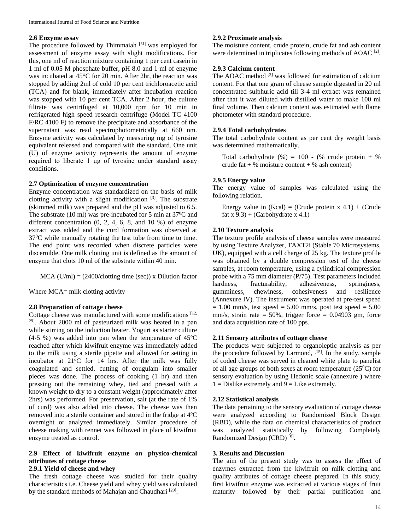#### **2.6 Enzyme assay**

The procedure followed by Thimmaiah<sup>[31]</sup> was employed for assessment of enzyme assay with slight modifications. For this, one ml of reaction mixture containing 1 per cent casein in 1 ml of 0.05 M phosphate buffer, pH 8.0 and 1 ml of enzyme was incubated at 45°C for 20 min. After 2hr, the reaction was stopped by adding 2ml of cold 10 per cent trichloroacetic acid (TCA) and for blank, immediately after incubation reaction was stopped with 10 per cent TCA. After 2 hour, the culture filtrate was centrifuged at 10,000 rpm for 10 min in refrigerated high speed research centrifuge (Model TC 4100 F/RC 4100 F) to remove the precipitate and absorbance of the supernatant was read spectrophotometrically at 660 nm. Enzyme activity was calculated by measuring mg of tyrosine equivalent released and compared with the standard. One unit (U) of enzyme activity represents the amount of enzyme required to liberate 1 μg of tyrosine under standard assay conditions.

## **2.7 Optimization of enzyme concentration**

Enzyme concentration was standardized on the basis of milk clotting activity with a slight modification  $[3]$ . The substrate (skimmed milk) was prepared and the pH was adjusted to 6.5. The substrate (10 ml) was pre-incubated for 5 min at  $37^{\circ}$ C and different concentration  $(0, 2, 4, 6, 8,$  and  $10\%$ ) of enzyme extract was added and the curd formation was observed at  $37^{\circ}$ C while manually rotating the test tube from time to time. The end point was recorded when discrete particles were discernible. One milk clotting unit is defined as the amount of enzyme that clots 10 ml of the substrate within 40 min.

 $MCA$  (U/ml) = (2400/clotting time (sec)) x Dilution factor

Where MCA= milk clotting activity

## **2.8 Preparation of cottage cheese**

Cottage cheese was manufactured with some modifications [12, 29]. About 2000 ml of pasteurized milk was heated in a pan while stirring on the induction heater. Yogurt as starter culture  $(4-5\%)$  was added into pan when the temperature of  $45^{\circ}$ C reached after which kiwifruit enzyme was immediately added to the milk using a sterile pipette and allowed for setting in incubator at 21°C for 14 hrs. After the milk was fully coagulated and settled, cutting of cougulam into smaller pieces was done. The process of cooking (1 hr) and then pressing out the remaining whey, tied and pressed with a known weight to dry to a constant weight (approximately after 2hrs) was performed. For preservation, salt (at the rate of 1% of curd) was also added into cheese. The cheese was then removed into a sterile container and stored in the fridge at 4°C overnight or analyzed immediately. Similar procedure of cheese making with rennet was followed in place of kiwifruit enzyme treated as control.

# **2.9 Effect of kiwifruit enzyme on physico-chemical attributes of cottage cheese**

# **2.9.1 Yield of cheese and whey**

The fresh cottage cheese was studied for their quality characteristics i.e. Cheese yield and whey yield was calculated by the standard methods of Mahajan and Chaudhari<sup>[20]</sup>.

### **2.9.2 Proximate analysis**

The moisture content, crude protein, crude fat and ash content were determined in triplicates following methods of AOAC<sup>[2]</sup>.

#### **2.9.3 Calcium content**

The AOAC method  $[2]$  was followed for estimation of calcium content. For that one gram of cheese sample digested in 20 ml concentrated sulphuric acid till 3-4 ml extract was remained after that it was diluted with distilled water to make 100 ml final volume. Then calcium content was estimated with flame photometer with standard procedure.

#### **2.9.4 Total carbohydrates**

The total carbohydrate content as per cent dry weight basis was determined mathematically.

Total carbohydrate  $(\%) = 100 - (\% \text{ crude protein} + \%)$ crude fat  $+$  % moisture content  $+$  % ash content)

#### **2.9.5 Energy value**

The energy value of samples was calculated using the following relation.

Energy value in  $(Kcal) = (Crude protein x 4.1) + (Crude)$ fat x  $9.3$ ) + (Carbohydrate x 4.1)

#### **2.10 Texture analysis**

The texture profile analysis of cheese samples were measured by using Texture Analyzer, TAXT2i (Stable 70 Microsystems, UK), equipped with a cell charge of 25 kg. The texture profile was obtained by a double compression test of the cheese samples, at room temperature, using a cylindrical compression probe with a 75 mm diameter (P/75). Test parameters included hardness, fracturability, adhesiveness, springiness, gumminess, chewiness, cohesiveness and resilience (Annexure IV). The instrument was operated at pre-test speed  $= 1.00$  mm/s, test speed  $= 5.00$  mm/s, post test speed  $= 5.00$ mm/s, strain rate =  $50\%$ , trigger force = 0.04903 gm, force and data acquisition rate of 100 pps.

# **2.11 Sensory attributes of cottage cheese**

The products were subjected to organoleptic analysis as per the procedure followed by Larmond, [15]. In the study, sample of coded cheese was served in cleaned white plate to panelist of all age groups of both sexes at room temperature  $(25^{\circ}C)$  for sensory evaluation by using Hedonic scale (annexure ) where  $1 =$  Dislike extremely and  $9 =$  Like extremely.

#### **2.12 Statistical analysis**

The data pertaining to the sensory evaluation of cottage cheese were analyzed according to Randomized Block Design (RBD), while the data on chemical characteristics of product was analyzed statistically by following Completely Randomized Design (CRD)<sup>[8]</sup>.

# **3. Results and Discussion**

The aim of the present study was to assess the effect of enzymes extracted from the kiwifruit on milk clotting and quality attributes of cottage cheese prepared. In this study, first kiwifruit enzyme was extracted at various stages of fruit maturity followed by their partial purification and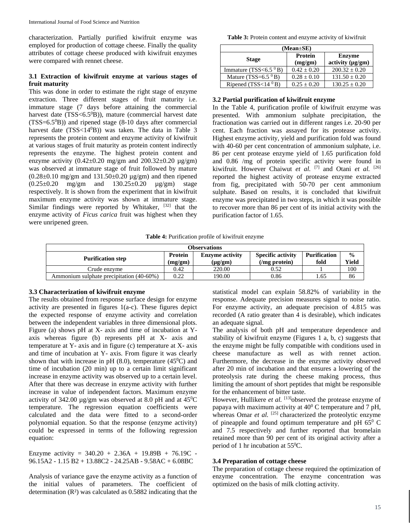characterization. Partially purified kiwifruit enzyme was employed for production of cottage cheese. Finally the quality attributes of cottage cheese produced with kiwifruit enzymes were compared with rennet cheese.

# **3.1 Extraction of kiwifruit enzyme at various stages of fruit maturity**

This was done in order to estimate the right stage of enzyme extraction. Three different stages of fruit maturity i.e. immature stage (7 days before attaining the commercial harvest date  $(TSS < 6.5^{\circ}B)$ ), mature (commercial harvest date  $(TSS=6.5^0B)$  and ripened stage (8-10 days after commercial harvest date (TSS<14<sup>0</sup>B)) was taken. The data in Table 3 represents the protein content and enzyme activity of kiwifruit at various stages of fruit maturity as protein content indirectly represents the enzyme. The highest protein content and enzyme activity  $(0.42\pm0.20 \text{ mg/gm}$  and  $200.32\pm0.20 \text{ µg/gm})$ was observed at immature stage of fruit followed by mature  $(0.28\pm0.10 \text{ mg/gm}$  and  $131.50\pm0.20 \text{ µg/gm}$ ) and then ripened  $(0.25\pm0.20 \text{ mg/gm} \text{ and } 130.25\pm0.20 \text{ ug/gm})$  stage respectively. It is shown from the experiment that in kiwifruit maximum enzyme activity was shown at immature stage. Similar findings were reported by Whitaker, <sup>[32]</sup> that the enzyme activity of *Ficus carica* fruit was highest when they were unripened green.

**Table 3:** Protein content and enzyme activity of kiwifruit

| $(Mean \pm SE)$              |                           |                                        |  |  |  |
|------------------------------|---------------------------|----------------------------------------|--|--|--|
| <b>Stage</b>                 | <b>Protein</b><br>(mg/gm) | <b>Enzyme</b><br>activity $(\mu g/gm)$ |  |  |  |
| Immature (TSS<6.5 $\rm^0B$ ) | $0.42 + 0.20$             | $200.32 + 0.20$                        |  |  |  |
| Mature (TSS= $6.5\,^0$ B)    | $0.28 + 0.10$             | $131.50 \pm 0.20$                      |  |  |  |
| Ripened (TSS<14 $^0$ B)      | $0.25 + 0.20$             | $130.25 \pm 0.20$                      |  |  |  |

# **3.2 Partial purification of kiwifruit enzyme**

In the Table 4, purification profile of kiwifruit enzyme was presented. With ammonium sulphate precipitation, the fractionation was carried out in different ranges i.e. 20-90 per cent. Each fraction was assayed for its protease activity. Highest enzyme activity, yield and purification fold was found with 40-60 per cent concentration of ammonium sulphate, i.e. 86 per cent protease enzyme yield of 1.65 purification fold and 0.86 /mg of protein specific activity were found in kiwifruit. However Chaiwut et al. <sup>[7]</sup> and Otani et al. <sup>[26]</sup> reported the highest activity of protease enzyme extracted from fig, precipitated with 50-70 per cent ammonium sulphate. Based on results, it is concluded that kiwifruit enzyme was precipitated in two steps, in which it was possible to recover more than 86 per cent of its initial activity with the purification factor of 1.65.

**Table 4:** Purification profile of kiwifruit enzyme

| <b>Observations</b>                      |                                   |              |                          |                     |               |  |  |
|------------------------------------------|-----------------------------------|--------------|--------------------------|---------------------|---------------|--|--|
| <b>Purification step</b>                 | <b>Enzyme activity</b><br>Protein |              | <b>Specific activity</b> | <b>Purification</b> | $\frac{0}{0}$ |  |  |
|                                          | (mg/gm)                           | $(\mu g/gm)$ | $(\text{mg protein})$    | fold                | Yield         |  |  |
| Crude enzvme                             | 0.42                              | 220.00       | 0.52                     |                     | 100           |  |  |
| Ammonium sulphate precipitation (40-60%) | 0.22                              | 190.00       | 0.86                     | 1.65                | 86            |  |  |

# **3.3 Characterization of kiwifruit enzyme**

The results obtained from response surface design for enzyme activity are presented in figures 1(a-c). These figures depict the expected response of enzyme activity and correlation between the independent variables in three dimensional plots. Figure (a) shows pH at X- axis and time of incubation at Yaxis whereas figure (b) represents pH at X- axis and temperature at Y- axis and in figure (c) temperature at X- axis and time of incubation at Y- axis. From figure it was clearly shown that with increase in pH  $(8.0)$ , temperature  $(45^{\circ}C)$  and time of incubation (20 min) up to a certain limit significant increase in enzyme activity was observed up to a certain level. After that there was decrease in enzyme activity with further increase in value of independent factors. Maximum enzyme activity of 342.00  $\mu$ g/gm was observed at 8.0 pH and at 45<sup>0</sup>C temperature. The regression equation coefficients were calculated and the data were fitted to a second-order polynomial equation. So that the response (enzyme activity) could be expressed in terms of the following regression equation:

Enzyme activity =  $340.20 + 2.36A + 19.89B + 76.19C$  -96.15A2 - 1.15 B2 + 13.88C2 - 24.25AB - 9.58AC + 6.08BC

Analysis of variance gave the enzyme activity as a function of the initial values of parameters. The coefficient of determination (R²) was calculated as 0.5882 indicating that the

statistical model can explain 58.82% of variability in the response. Adequate precision measures signal to noise ratio. For enzyme activity, an adequate precision of 4.815 was recorded (A ratio greater than 4 is desirable), which indicates an adequate signal.

The analysis of both pH and temperature dependence and stability of kiwifruit enzyme (Figures 1 a, b, c) suggests that the enzyme might be fully compatible with conditions used in cheese manufacture as well as with rennet action. Furthermore, the decrease in the enzyme activity observed after 20 min of incubation and that ensures a lowering of the proteolysis rate during the cheese making process, thus limiting the amount of short peptides that might be responsible for the enhancement of bitter taste.

However, Hullikere *et al.* <sup>[13]</sup>observed the protease enzyme of papaya with maximum activity at 40<sup>0</sup> C temperature and 7 pH, whereas Omar *et al.* <sup>[25]</sup> characterized the proteolytic enzyme of pineapple and found optimum temperature and pH  $65^{\circ}$  C and 7.5 respectively and further reported that bromelain retained more than 90 per cent of its original activity after a period of 1 hr incubation at 55<sup>0</sup>C.

# **3.4 Preparation of cottage cheese**

The preparation of cottage cheese required the optimization of enzyme concentration. The enzyme concentration was optimized on the basis of milk clotting activity.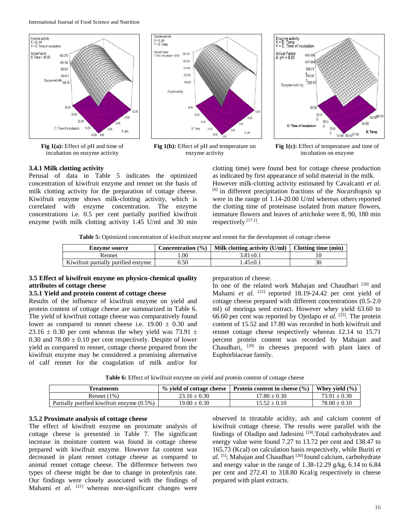International Journal of Food Science and Nutrition



**Fig 1(a):** Effect of pH and time of incubation on enzyme activity



**Fig 1(b):** Effect of pH and temperature on enzyme activity



**Fig 1(c):** Effect of temperature and time of incubation on enzyme

## **3.4.1 Milk clotting activity**

Perusal of data in Table 5 indicates the optimized concentration of kiwifruit enzyme and rennet on the basis of milk clotting activity for the preparation of cottage cheese. Kiwifruit enzyme shows milk-clotting activity, which is correlated with enzyme concentration. The enzyme concentrations i.e. 0.5 per cent partially purified kiwifruit enzyme (with milk clotting activity 1.45 U/ml and 30 min clotting time) were found best for cottage cheese production as indicated by first appearance of solid material in the milk. However milk-clotting activity estimated by Cavalcanti *et al.*  [6] in different precipitation fractions of the *Nocardiopsis* sp were in the range of 1.14-20.00 U/ml whereas others reported the clotting time of proteinase isolated from mature flowers, immature flowers and leaves of artichoke were 8, 90, 180 min respectively [17,1].

**Table 5:** Optimized concentration of kiwifruit enzyme and rennet for the development of cottage cheese

| <b>Enzvme source</b>                |     | Concentration $(\% )$   Milk clotting activity (U/ml) | Clotting time (min) |  |
|-------------------------------------|-----|-------------------------------------------------------|---------------------|--|
| Rennet                              | .00 | 3.81±0.1                                              |                     |  |
| Kiwifruit partially purified enzyme | .50 | $.45 \pm 0.1$                                         |                     |  |

## **3.5 Effect of kiwifruit enzyme on physico-chemical quality attributes of cottage cheese**

#### **3.5.1 Yield and protein content of cottage cheese**

Results of the influence of kiwifruit enzyme on yield and protein content of cottage cheese are summarized in Table 6. The yield of kiwifruit cottage cheese was comparatively found lower as compared to rennet cheese i.e.  $19.00 \pm 0.30$  and 23.16  $\pm$  0.30 per cent whereas the whey yield was 73.91  $\pm$ 0.30 and  $78.00 \pm 0.10$  per cent respectively. Despite of lower yield as compared to rennet, cottage cheese prepared from the kiwifruit enzyme may be considered a promising alternative of calf rennet for the coagulation of milk and/or for

preparation of cheese.

In one of the related work Mahajan and Chaudhari<sup>[20]</sup> and Mahami *et al.* <sup>[21]</sup> reported 18.19-24.42 per cent yield of cottage cheese prepared with different concentrations (0.5-2.0 ml) of moringa seed extract. However whey yield 63.60 to 66.60 per cent was reported by Ojedapo *et al.* [23]. The protein content of 15.52 and 17.80 was recorded in both kiwifruit and rennet cottage cheese respectively whereas 12.14 to 15.71 percent protein content was recorded by Mahajan and Chaudhari, [20] in cheeses prepared with plant latex of Euphorbiaceae family.

**Table 6:** Effect of kiwifruit enzyme on yield and protein content of cottage cheese

| <b>Treatments</b>                          | % yield of cottage cheese | <b>Protein content in cheese</b> $(\%)$ | Whev vield $(\% )$ |
|--------------------------------------------|---------------------------|-----------------------------------------|--------------------|
| Rennet $(1%)$                              | $23.16 + 0.30$            | $17.80 + 0.30$                          | $73.91 \pm 0.30$   |
| Partially purified kiwifruit enzyme (0.5%) | $19.00 + 0.30$            | $15.52 + 0.10$                          | $78.00 + 0.10$     |

# **3.5.2 Proximate analysis of cottage cheese**

The effect of kiwifruit enzyme on proximate analysis of cottage cheese is presented in Table 7. The significant increase in moisture content was found in cottage cheese prepared with kiwifruit enzyme. However fat content was decreased in plant rennet cottage cheese as compared to animal rennet cottage cheese. The difference between two types of cheese might be due to change in proteolysis rate. Our findings were closely associated with the findings of Mahami *et al.* <sup>[21]</sup> whereas non-significant changes were

observed in titratable acidity, ash and calcium content of kiwifruit cottage cheese. The results were parallel with the findings of Oladipo and Jadesimi<sup>[24]</sup>.Total carbohydrates and energy value were found 7.27 to 13.72 per cent and 138.47 to 165.73 (Kcal) on calculation basis respectively, while Buriti *et al.* [5]; Mahajan and Chaudhari [20] found calcium, carbohydrate and energy value in the range of 1.38-12.29 g/kg, 6.14 to 6.84 per cent and 272.41 to 318.80 Kcal/g respectively in cheese prepared with plant extracts.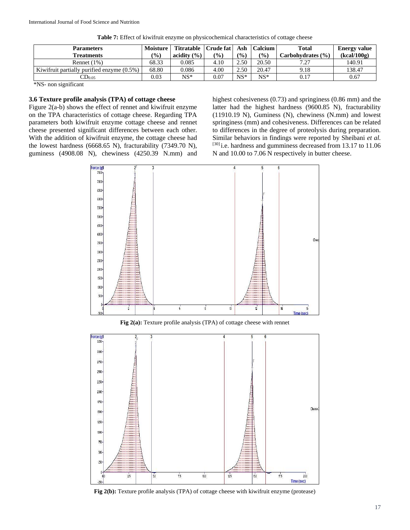| <b>Parameters</b>                             | Moisture      | <b>Titratable</b> | Crude fat     | Ash           | Calcium       | <b>Total</b>          | <b>Energy value</b> |
|-----------------------------------------------|---------------|-------------------|---------------|---------------|---------------|-----------------------|---------------------|
| <b>Freatments</b>                             | $\frac{9}{0}$ | acidity $(\% )$   | $\frac{1}{2}$ | $\frac{1}{2}$ | $\frac{9}{0}$ | Carbohydrates $(\% )$ | (kcal/100g)         |
| Rennet $(1%)$                                 | 68.33         | 0.085             | 4.10          | 2.50          | 20.50         | 7 77                  | 140.91              |
| Kiwifruit partially purified enzyme $(0.5\%)$ | 68.80         | 0.086             | 4.00          | 2.50          | 20.47         | 9.18                  | 138.47              |
| $\mathbb{C}$ D <sub>0.05</sub>                | 0.03          | $NS^*$            | 0.07          | $NS*$         | $NS*$         | 0.17                  | 0.67                |

**Table 7:** Effect of kiwifruit enzyme on physicochemical characteristics of cottage cheese

\*NS- non significant

## **3.6 Texture profile analysis (TPA) of cottage cheese**

Figure 2(a-b) shows the effect of rennet and kiwifruit enzyme on the TPA characteristics of cottage cheese. Regarding TPA parameters both kiwifruit enzyme cottage cheese and rennet cheese presented significant differences between each other. With the addition of kiwifruit enzyme, the cottage cheese had the lowest hardness (6668.65 N), fracturability (7349.70 N), guminess (4908.08 N), chewiness (4250.39 N.mm) and highest cohesiveness (0.73) and springiness (0.86 mm) and the latter had the highest hardness (9600.85 N), fracturability (11910.19 N), Guminess (N), chewiness (N.mm) and lowest springiness (mm) and cohesiveness. Differences can be related to differences in the degree of proteolysis during preparation. Similar behaviors in findings were reported by Sheibani *et al.*  [30] i.e. hardness and gumminess decreased from 13.17 to 11.06 N and 10.00 to 7.06 N respectively in butter cheese.



**Fig 2(a):** Texture profile analysis (TPA) of cottage cheese with rennet



**Fig 2(b):** Texture profile analysis (TPA) of cottage cheese with kiwifruit enzyme (protease)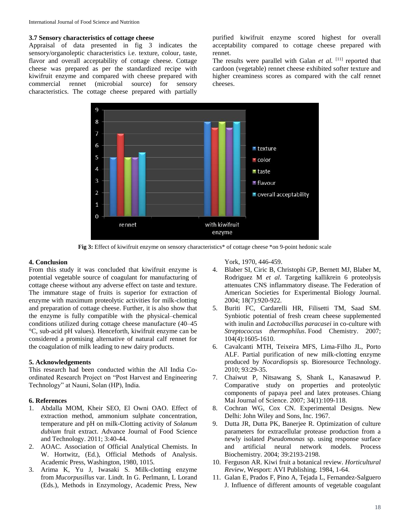## **3.7 Sensory characteristics of cottage cheese**

Appraisal of data presented in fig 3 indicates the sensory/organoleptic characteristics i.e. texture, colour, taste, flavor and overall acceptability of cottage cheese. Cottage cheese was prepared as per the standardized recipe with kiwifruit enzyme and compared with cheese prepared with commercial rennet (microbial source) for sensory characteristics. The cottage cheese prepared with partially

purified kiwifruit enzyme scored highest for overall acceptability compared to cottage cheese prepared with rennet.

The results were parallel with Galan *et al.* <sup>[11]</sup> reported that cardoon (vegetable) rennet cheese exhibited softer texture and higher creaminess scores as compared with the calf rennet cheeses.



**Fig 3:** Effect of kiwifruit enzyme on sensory characteristics\* of cottage cheese \*on 9-point hedonic scale

### **4. Conclusion**

From this study it was concluded that kiwifruit enzyme is potential vegetable source of coagulant for manufacturing of cottage cheese without any adverse effect on taste and texture. The immature stage of fruits is superior for extraction of enzyme with maximum proteolytic activities for milk-clotting and preparation of cottage cheese. Further, it is also show that the enzyme is fully compatible with the physical–chemical conditions utilized during cottage cheese manufacture (40–45 °C, sub-acid pH values). Henceforth, kiwifruit enzyme can be considered a promising alternative of natural calf rennet for the coagulation of milk leading to new dairy products.

### **5. Acknowledgements**

This research had been conducted within the All India Coordinated Research Project on "Post Harvest and Engineering Technology" at Nauni, Solan (HP), India.

## **6. References**

- 1. Abdalla MOM, Kheir SEO, El Owni OAO. Effect of extraction method, ammonium sulphate concentration, temperature and pH on milk-Clotting activity of *Solanum dubium* fruit extract. Advance Journal of Food Science and Technology. 2011; 3:40-44.
- 2. AOAC. Association of Official Analytical Chemists. In W. Hortwitz, (Ed.), Official Methods of Analysis. Academic Press, Washington, 1980, 1015.
- 3. Arima K, Yu J, Iwasaki S. Milk-clotting enzyme from *Mucorpusillus* var. Lindt. In G. Perlmann, L Lorand (Eds.), Methods in Enzymology, Academic Press, New

York, 1970, 446-459.

- 4. Blaber SI, Ciric B, Christophi GP, Bernett MJ, Blaber M, Rodriguez M *et al*. Targeting kallikrein 6 proteolysis attenuates CNS inflammatory disease. The Federation of American Societies for Experimental Biology Journal. 2004; 18(7):920-922.
- 5. Buriti FC, Cardarelli HR, Filisetti TM, Saad SM. Synbiotic potential of fresh cream cheese supplemented with inulin and *Lactobacillus paracasei* in co-culture with *Streptococcus thermophilus*. Food Chemistry. 2007; 104(4):1605-1610.
- 6. Cavalcanti MTH, Teixeira MFS, Lima-Filho JL, Porto ALF. Partial purification of new milk-clotting enzyme produced by *Nocardiopsis* sp. Bioresource Technology. 2010; 93:29-35.
- 7. Chaiwut P, Nitsawang S, Shank L, Kanasawud P. Comparative study on properties and proteolytic components of papaya peel and latex proteases. Chiang Mai Journal of Science. 2007; 34(1):109-118.
- 8. Cochran WG, Cox CN. Experimental Designs. New Delhi: John Wiley and Sons, Inc. 1967.
- 9. Dutta JR, Dutta PK, Banerjee R. Optimization of culture parameters for extracellular protease production from a newly isolated *Pseudomonas* sp. using response surface and artificial neural network models. Process Biochemistry*.* 2004; 39:2193-2198.
- 10. Ferguson AR. Kiwi fruit a botanical review. *Horticultural Review*, Wesport: AVI Publishing. 1984, 1-64.
- 11. Galan E, Prados F, Pino A, Tejada L, Fernandez-Salguero J. Influence of different amounts of vegetable coagulant